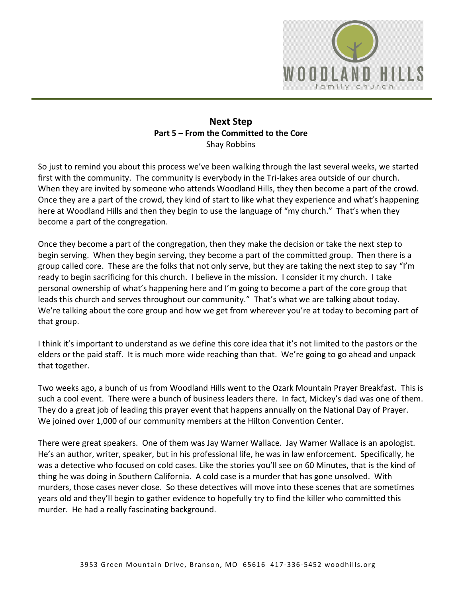

## **Next Step Part 5 – From the Committed to the Core**  Shay Robbins

So just to remind you about this process we've been walking through the last several weeks, we started first with the community. The community is everybody in the Tri-lakes area outside of our church. When they are invited by someone who attends Woodland Hills, they then become a part of the crowd. Once they are a part of the crowd, they kind of start to like what they experience and what's happening here at Woodland Hills and then they begin to use the language of "my church." That's when they become a part of the congregation.

Once they become a part of the congregation, then they make the decision or take the next step to begin serving. When they begin serving, they become a part of the committed group. Then there is a group called core. These are the folks that not only serve, but they are taking the next step to say "I'm ready to begin sacrificing for this church. I believe in the mission. I consider it my church. I take personal ownership of what's happening here and I'm going to become a part of the core group that leads this church and serves throughout our community." That's what we are talking about today. We're talking about the core group and how we get from wherever you're at today to becoming part of that group.

I think it's important to understand as we define this core idea that it's not limited to the pastors or the elders or the paid staff. It is much more wide reaching than that. We're going to go ahead and unpack that together.

Two weeks ago, a bunch of us from Woodland Hills went to the Ozark Mountain Prayer Breakfast. This is such a cool event. There were a bunch of business leaders there. In fact, Mickey's dad was one of them. They do a great job of leading this prayer event that happens annually on the National Day of Prayer. We joined over 1,000 of our community members at the Hilton Convention Center.

There were great speakers. One of them was Jay Warner Wallace. Jay Warner Wallace is an apologist. He's an author, writer, speaker, but in his professional life, he was in law enforcement. Specifically, he was a detective who focused on cold cases. Like the stories you'll see on 60 Minutes, that is the kind of thing he was doing in Southern California. A cold case is a murder that has gone unsolved. With murders, those cases never close. So these detectives will move into these scenes that are sometimes years old and they'll begin to gather evidence to hopefully try to find the killer who committed this murder. He had a really fascinating background.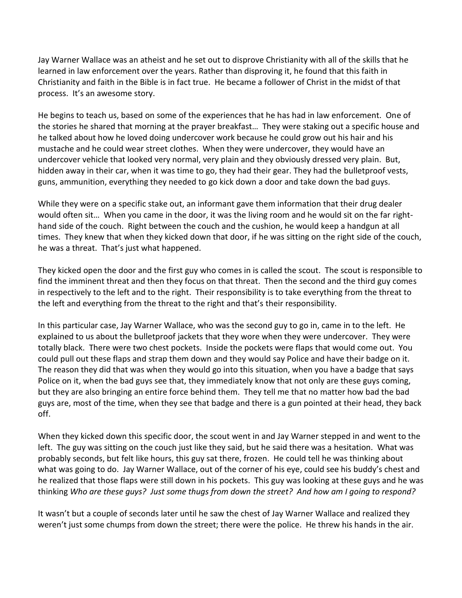Jay Warner Wallace was an atheist and he set out to disprove Christianity with all of the skills that he learned in law enforcement over the years. Rather than disproving it, he found that this faith in Christianity and faith in the Bible is in fact true. He became a follower of Christ in the midst of that process. It's an awesome story.

He begins to teach us, based on some of the experiences that he has had in law enforcement. One of the stories he shared that morning at the prayer breakfast… They were staking out a specific house and he talked about how he loved doing undercover work because he could grow out his hair and his mustache and he could wear street clothes. When they were undercover, they would have an undercover vehicle that looked very normal, very plain and they obviously dressed very plain. But, hidden away in their car, when it was time to go, they had their gear. They had the bulletproof vests, guns, ammunition, everything they needed to go kick down a door and take down the bad guys.

While they were on a specific stake out, an informant gave them information that their drug dealer would often sit… When you came in the door, it was the living room and he would sit on the far righthand side of the couch. Right between the couch and the cushion, he would keep a handgun at all times. They knew that when they kicked down that door, if he was sitting on the right side of the couch, he was a threat. That's just what happened.

They kicked open the door and the first guy who comes in is called the scout. The scout is responsible to find the imminent threat and then they focus on that threat. Then the second and the third guy comes in respectively to the left and to the right. Their responsibility is to take everything from the threat to the left and everything from the threat to the right and that's their responsibility.

In this particular case, Jay Warner Wallace, who was the second guy to go in, came in to the left. He explained to us about the bulletproof jackets that they wore when they were undercover. They were totally black. There were two chest pockets. Inside the pockets were flaps that would come out. You could pull out these flaps and strap them down and they would say Police and have their badge on it. The reason they did that was when they would go into this situation, when you have a badge that says Police on it, when the bad guys see that, they immediately know that not only are these guys coming, but they are also bringing an entire force behind them. They tell me that no matter how bad the bad guys are, most of the time, when they see that badge and there is a gun pointed at their head, they back off.

When they kicked down this specific door, the scout went in and Jay Warner stepped in and went to the left. The guy was sitting on the couch just like they said, but he said there was a hesitation. What was probably seconds, but felt like hours, this guy sat there, frozen. He could tell he was thinking about what was going to do. Jay Warner Wallace, out of the corner of his eye, could see his buddy's chest and he realized that those flaps were still down in his pockets. This guy was looking at these guys and he was thinking *Who are these guys? Just some thugs from down the street? And how am I going to respond?*

It wasn't but a couple of seconds later until he saw the chest of Jay Warner Wallace and realized they weren't just some chumps from down the street; there were the police. He threw his hands in the air.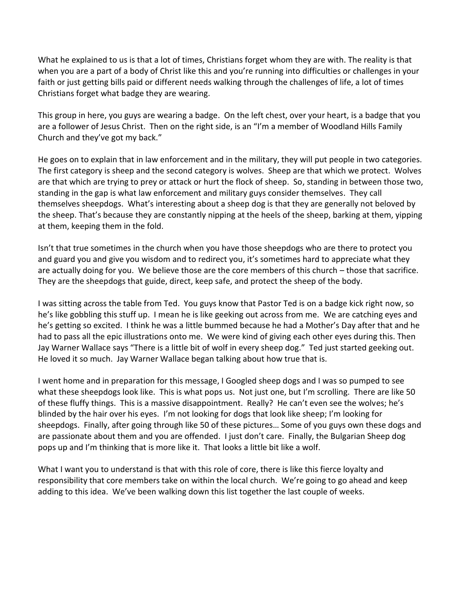What he explained to us is that a lot of times, Christians forget whom they are with. The reality is that when you are a part of a body of Christ like this and you're running into difficulties or challenges in your faith or just getting bills paid or different needs walking through the challenges of life, a lot of times Christians forget what badge they are wearing.

This group in here, you guys are wearing a badge. On the left chest, over your heart, is a badge that you are a follower of Jesus Christ. Then on the right side, is an "I'm a member of Woodland Hills Family Church and they've got my back."

He goes on to explain that in law enforcement and in the military, they will put people in two categories. The first category is sheep and the second category is wolves. Sheep are that which we protect. Wolves are that which are trying to prey or attack or hurt the flock of sheep. So, standing in between those two, standing in the gap is what law enforcement and military guys consider themselves. They call themselves sheepdogs. What's interesting about a sheep dog is that they are generally not beloved by the sheep. That's because they are constantly nipping at the heels of the sheep, barking at them, yipping at them, keeping them in the fold.

Isn't that true sometimes in the church when you have those sheepdogs who are there to protect you and guard you and give you wisdom and to redirect you, it's sometimes hard to appreciate what they are actually doing for you. We believe those are the core members of this church – those that sacrifice. They are the sheepdogs that guide, direct, keep safe, and protect the sheep of the body.

I was sitting across the table from Ted. You guys know that Pastor Ted is on a badge kick right now, so he's like gobbling this stuff up. I mean he is like geeking out across from me. We are catching eyes and he's getting so excited. I think he was a little bummed because he had a Mother's Day after that and he had to pass all the epic illustrations onto me. We were kind of giving each other eyes during this. Then Jay Warner Wallace says "There is a little bit of wolf in every sheep dog." Ted just started geeking out. He loved it so much. Jay Warner Wallace began talking about how true that is.

I went home and in preparation for this message, I Googled sheep dogs and I was so pumped to see what these sheepdogs look like. This is what pops us. Not just one, but I'm scrolling. There are like 50 of these fluffy things. This is a massive disappointment. Really? He can't even see the wolves; he's blinded by the hair over his eyes. I'm not looking for dogs that look like sheep; I'm looking for sheepdogs. Finally, after going through like 50 of these pictures… Some of you guys own these dogs and are passionate about them and you are offended. I just don't care. Finally, the Bulgarian Sheep dog pops up and I'm thinking that is more like it. That looks a little bit like a wolf.

What I want you to understand is that with this role of core, there is like this fierce loyalty and responsibility that core members take on within the local church. We're going to go ahead and keep adding to this idea. We've been walking down this list together the last couple of weeks.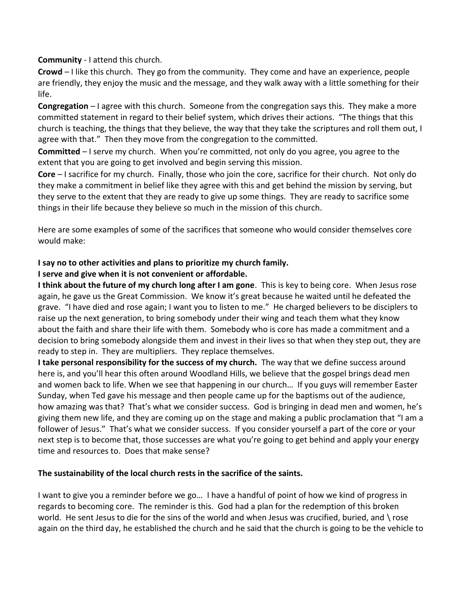**Community** - I attend this church.

**Crowd** – I like this church. They go from the community. They come and have an experience, people are friendly, they enjoy the music and the message, and they walk away with a little something for their life.

**Congregation** – I agree with this church. Someone from the congregation says this. They make a more committed statement in regard to their belief system, which drives their actions. "The things that this church is teaching, the things that they believe, the way that they take the scriptures and roll them out, I agree with that." Then they move from the congregation to the committed.

**Committed** – I serve my church. When you're committed, not only do you agree, you agree to the extent that you are going to get involved and begin serving this mission.

**Core** – I sacrifice for my church. Finally, those who join the core, sacrifice for their church. Not only do they make a commitment in belief like they agree with this and get behind the mission by serving, but they serve to the extent that they are ready to give up some things. They are ready to sacrifice some things in their life because they believe so much in the mission of this church.

Here are some examples of some of the sacrifices that someone who would consider themselves core would make:

## **I say no to other activities and plans to prioritize my church family.**

#### **I serve and give when it is not convenient or affordable.**

**I think about the future of my church long after I am gone**. This is key to being core. When Jesus rose again, he gave us the Great Commission. We know it's great because he waited until he defeated the grave. "I have died and rose again; I want you to listen to me." He charged believers to be disciplers to raise up the next generation, to bring somebody under their wing and teach them what they know about the faith and share their life with them. Somebody who is core has made a commitment and a decision to bring somebody alongside them and invest in their lives so that when they step out, they are ready to step in. They are multipliers. They replace themselves.

**I take personal responsibility for the success of my church.** The way that we define success around here is, and you'll hear this often around Woodland Hills, we believe that the gospel brings dead men and women back to life. When we see that happening in our church… If you guys will remember Easter Sunday, when Ted gave his message and then people came up for the baptisms out of the audience, how amazing was that? That's what we consider success. God is bringing in dead men and women, he's giving them new life, and they are coming up on the stage and making a public proclamation that "I am a follower of Jesus." That's what we consider success. If you consider yourself a part of the core or your next step is to become that, those successes are what you're going to get behind and apply your energy time and resources to. Does that make sense?

#### **The sustainability of the local church rests in the sacrifice of the saints.**

I want to give you a reminder before we go… I have a handful of point of how we kind of progress in regards to becoming core. The reminder is this. God had a plan for the redemption of this broken world. He sent Jesus to die for the sins of the world and when Jesus was crucified, buried, and \ rose again on the third day, he established the church and he said that the church is going to be the vehicle to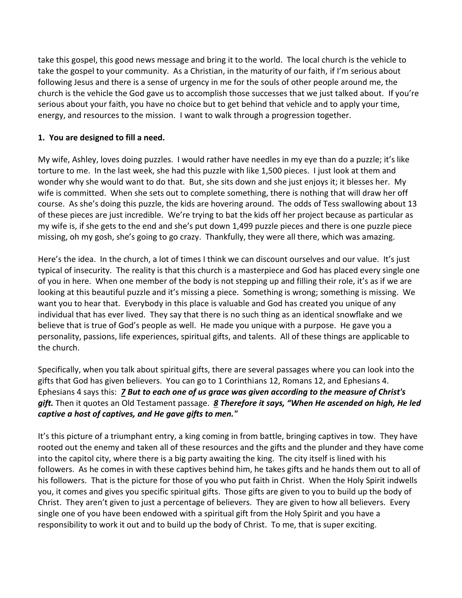take this gospel, this good news message and bring it to the world. The local church is the vehicle to take the gospel to your community. As a Christian, in the maturity of our faith, if I'm serious about following Jesus and there is a sense of urgency in me for the souls of other people around me, the church is the vehicle the God gave us to accomplish those successes that we just talked about. If you're serious about your faith, you have no choice but to get behind that vehicle and to apply your time, energy, and resources to the mission. I want to walk through a progression together.

## **1. You are designed to fill a need.**

My wife, Ashley, loves doing puzzles. I would rather have needles in my eye than do a puzzle; it's like torture to me. In the last week, she had this puzzle with like 1,500 pieces. I just look at them and wonder why she would want to do that. But, she sits down and she just enjoys it; it blesses her. My wife is committed. When she sets out to complete something, there is nothing that will draw her off course. As she's doing this puzzle, the kids are hovering around. The odds of Tess swallowing about 13 of these pieces are just incredible. We're trying to bat the kids off her project because as particular as my wife is, if she gets to the end and she's put down 1,499 puzzle pieces and there is one puzzle piece missing, oh my gosh, she's going to go crazy. Thankfully, they were all there, which was amazing.

Here's the idea. In the church, a lot of times I think we can discount ourselves and our value. It's just typical of insecurity. The reality is that this church is a masterpiece and God has placed every single one of you in here. When one member of the body is not stepping up and filling their role, it's as if we are looking at this beautiful puzzle and it's missing a piece. Something is wrong; something is missing. We want you to hear that. Everybody in this place is valuable and God has created you unique of any individual that has ever lived. They say that there is no such thing as an identical snowflake and we believe that is true of God's people as well. He made you unique with a purpose. He gave you a personality, passions, life experiences, spiritual gifts, and talents. All of these things are applicable to the church.

Specifically, when you talk about spiritual gifts, there are several passages where you can look into the gifts that God has given believers. You can go to 1 Corinthians 12, Romans 12, and Ephesians 4. Ephesians 4 says this: *[7](http://www.studylight.org/desk/?q=eph%204:7&t1=en_nas&sr=1) But to each one of us grace was given according to the measure of Christ's gift.* Then it quotes an Old Testament passage. *[8](http://www.studylight.org/desk/?q=eph%204:8&t1=en_nas&sr=1) Therefore it says, "When He ascended on high, He led captive a host of captives, and He gave gifts to men."*

It's this picture of a triumphant entry, a king coming in from battle, bringing captives in tow. They have rooted out the enemy and taken all of these resources and the gifts and the plunder and they have come into the capitol city, where there is a big party awaiting the king. The city itself is lined with his followers. As he comes in with these captives behind him, he takes gifts and he hands them out to all of his followers. That is the picture for those of you who put faith in Christ. When the Holy Spirit indwells you, it comes and gives you specific spiritual gifts. Those gifts are given to you to build up the body of Christ. They aren't given to just a percentage of believers. They are given to how all believers. Every single one of you have been endowed with a spiritual gift from the Holy Spirit and you have a responsibility to work it out and to build up the body of Christ. To me, that is super exciting.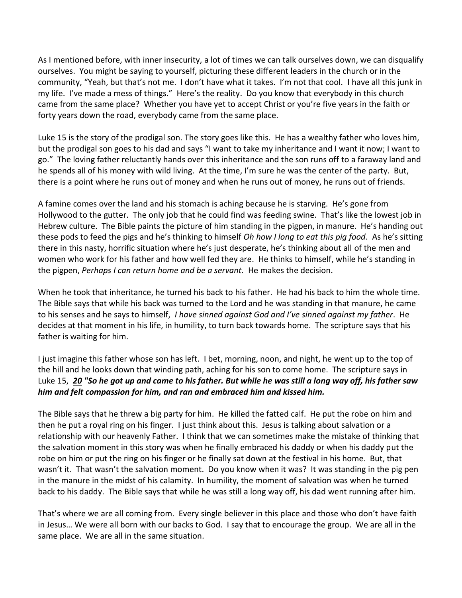As I mentioned before, with inner insecurity, a lot of times we can talk ourselves down, we can disqualify ourselves. You might be saying to yourself, picturing these different leaders in the church or in the community, "Yeah, but that's not me. I don't have what it takes. I'm not that cool. I have all this junk in my life. I've made a mess of things." Here's the reality. Do you know that everybody in this church came from the same place? Whether you have yet to accept Christ or you're five years in the faith or forty years down the road, everybody came from the same place.

Luke 15 is the story of the prodigal son. The story goes like this. He has a wealthy father who loves him, but the prodigal son goes to his dad and says "I want to take my inheritance and I want it now; I want to go." The loving father reluctantly hands over this inheritance and the son runs off to a faraway land and he spends all of his money with wild living. At the time, I'm sure he was the center of the party. But, there is a point where he runs out of money and when he runs out of money, he runs out of friends.

A famine comes over the land and his stomach is aching because he is starving. He's gone from Hollywood to the gutter. The only job that he could find was feeding swine. That's like the lowest job in Hebrew culture. The Bible paints the picture of him standing in the pigpen, in manure. He's handing out these pods to feed the pigs and he's thinking to himself *Oh how I long to eat this pig food*. As he's sitting there in this nasty, horrific situation where he's just desperate, he's thinking about all of the men and women who work for his father and how well fed they are. He thinks to himself, while he's standing in the pigpen, *Perhaps I can return home and be a servant.* He makes the decision.

When he took that inheritance, he turned his back to his father. He had his back to him the whole time. The Bible says that while his back was turned to the Lord and he was standing in that manure, he came to his senses and he says to himself, *I have sinned against God and I've sinned against my father*. He decides at that moment in his life, in humility, to turn back towards home. The scripture says that his father is waiting for him.

I just imagine this father whose son has left. I bet, morning, noon, and night, he went up to the top of the hill and he looks down that winding path, aching for his son to come home. The scripture says in Luke 15, *[20](http://www.studylight.org/desk/?q=lu%2015:20&t1=en_nas&sr=1) "So he got up and came to his father. But while he was still a long way off, his father saw him and felt compassion for him, and ran and embraced him and kissed him.*

The Bible says that he threw a big party for him. He killed the fatted calf. He put the robe on him and then he put a royal ring on his finger. I just think about this. Jesus is talking about salvation or a relationship with our heavenly Father. I think that we can sometimes make the mistake of thinking that the salvation moment in this story was when he finally embraced his daddy or when his daddy put the robe on him or put the ring on his finger or he finally sat down at the festival in his home. But, that wasn't it. That wasn't the salvation moment. Do you know when it was? It was standing in the pig pen in the manure in the midst of his calamity. In humility, the moment of salvation was when he turned back to his daddy. The Bible says that while he was still a long way off, his dad went running after him.

That's where we are all coming from. Every single believer in this place and those who don't have faith in Jesus… We were all born with our backs to God. I say that to encourage the group. We are all in the same place. We are all in the same situation.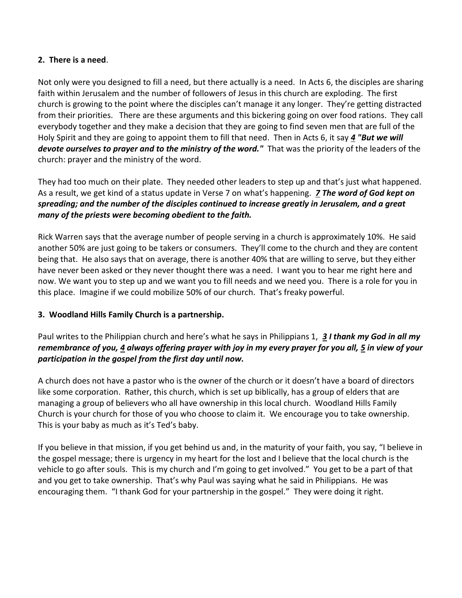## **2. There is a need**.

Not only were you designed to fill a need, but there actually is a need. In Acts 6, the disciples are sharing faith within Jerusalem and the number of followers of Jesus in this church are exploding. The first church is growing to the point where the disciples can't manage it any longer. They're getting distracted from their priorities. There are these arguments and this bickering going on over food rations. They call everybody together and they make a decision that they are going to find seven men that are full of the Holy Spirit and they are going to appoint them to fill that need. Then in Acts 6, it say *[4](http://www.studylight.org/desk/?q=ac%206:4&t1=en_nas&sr=1) "But we will devote ourselves to prayer and to the ministry of the word."* That was the priority of the leaders of the church: prayer and the ministry of the word.

They had too much on their plate. They needed other leaders to step up and that's just what happened. As a result, we get kind of a status update in Verse 7 on what's happening. *[7](http://www.studylight.org/desk/?q=ac%206:7&t1=en_nas&sr=1) The word of God kept on spreading; and the number of the disciples continued to increase greatly in Jerusalem, and a great many of the priests were becoming obedient to the faith.*

Rick Warren says that the average number of people serving in a church is approximately 10%. He said another 50% are just going to be takers or consumers. They'll come to the church and they are content being that. He also says that on average, there is another 40% that are willing to serve, but they either have never been asked or they never thought there was a need. I want you to hear me right here and now. We want you to step up and we want you to fill needs and we need you. There is a role for you in this place. Imagine if we could mobilize 50% of our church. That's freaky powerful.

# **3. Woodland Hills Family Church is a partnership.**

Paul writes to the Philippian church and here's what he says in Philippians 1, *[3](http://www.studylight.org/desk/?q=php%201:3&t1=en_nas&sr=1) I thank my God in all my remembrance of you, [4](http://www.studylight.org/desk/?q=php%201:4&t1=en_nas&sr=1) always offering prayer with joy in my every prayer for you all, [5](http://www.studylight.org/desk/?q=php%201:5&t1=en_nas&sr=1) in view of your participation in the gospel from the first day until now.*

A church does not have a pastor who is the owner of the church or it doesn't have a board of directors like some corporation. Rather, this church, which is set up biblically, has a group of elders that are managing a group of believers who all have ownership in this local church. Woodland Hills Family Church is your church for those of you who choose to claim it. We encourage you to take ownership. This is your baby as much as it's Ted's baby.

If you believe in that mission, if you get behind us and, in the maturity of your faith, you say, "I believe in the gospel message; there is urgency in my heart for the lost and I believe that the local church is the vehicle to go after souls. This is my church and I'm going to get involved." You get to be a part of that and you get to take ownership. That's why Paul was saying what he said in Philippians. He was encouraging them. "I thank God for your partnership in the gospel." They were doing it right.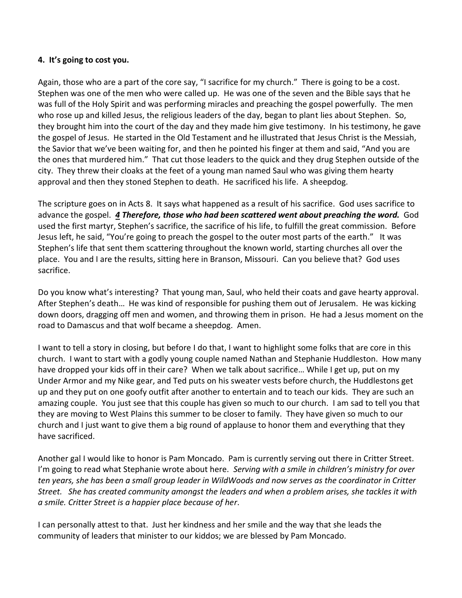## **4. It's going to cost you.**

Again, those who are a part of the core say, "I sacrifice for my church." There is going to be a cost. Stephen was one of the men who were called up. He was one of the seven and the Bible says that he was full of the Holy Spirit and was performing miracles and preaching the gospel powerfully. The men who rose up and killed Jesus, the religious leaders of the day, began to plant lies about Stephen. So, they brought him into the court of the day and they made him give testimony. In his testimony, he gave the gospel of Jesus. He started in the Old Testament and he illustrated that Jesus Christ is the Messiah, the Savior that we've been waiting for, and then he pointed his finger at them and said, "And you are the ones that murdered him." That cut those leaders to the quick and they drug Stephen outside of the city. They threw their cloaks at the feet of a young man named Saul who was giving them hearty approval and then they stoned Stephen to death. He sacrificed his life. A sheepdog.

The scripture goes on in Acts 8. It says what happened as a result of his sacrifice. God uses sacrifice to advance the gospel. *[4](http://www.studylight.org/desk/?q=ac%208:4&t1=en_nas&sr=1) Therefore, those who had been scattered went about preaching the word.* God used the first martyr, Stephen's sacrifice, the sacrifice of his life, to fulfill the great commission. Before Jesus left, he said, "You're going to preach the gospel to the outer most parts of the earth." It was Stephen's life that sent them scattering throughout the known world, starting churches all over the place. You and I are the results, sitting here in Branson, Missouri. Can you believe that? God uses sacrifice.

Do you know what's interesting? That young man, Saul, who held their coats and gave hearty approval. After Stephen's death… He was kind of responsible for pushing them out of Jerusalem. He was kicking down doors, dragging off men and women, and throwing them in prison. He had a Jesus moment on the road to Damascus and that wolf became a sheepdog. Amen.

I want to tell a story in closing, but before I do that, I want to highlight some folks that are core in this church. I want to start with a godly young couple named Nathan and Stephanie Huddleston. How many have dropped your kids off in their care? When we talk about sacrifice… While I get up, put on my Under Armor and my Nike gear, and Ted puts on his sweater vests before church, the Huddlestons get up and they put on one goofy outfit after another to entertain and to teach our kids. They are such an amazing couple. You just see that this couple has given so much to our church. I am sad to tell you that they are moving to West Plains this summer to be closer to family. They have given so much to our church and I just want to give them a big round of applause to honor them and everything that they have sacrificed.

Another gal I would like to honor is Pam Moncado. Pam is currently serving out there in Critter Street. I'm going to read what Stephanie wrote about here. *Serving with a smile in children's ministry for over ten years, she has been a small group leader in WildWoods and now serves as the coordinator in Critter Street. She has created community amongst the leaders and when a problem arises, she tackles it with a smile. Critter Street is a happier place because of her*.

I can personally attest to that. Just her kindness and her smile and the way that she leads the community of leaders that minister to our kiddos; we are blessed by Pam Moncado.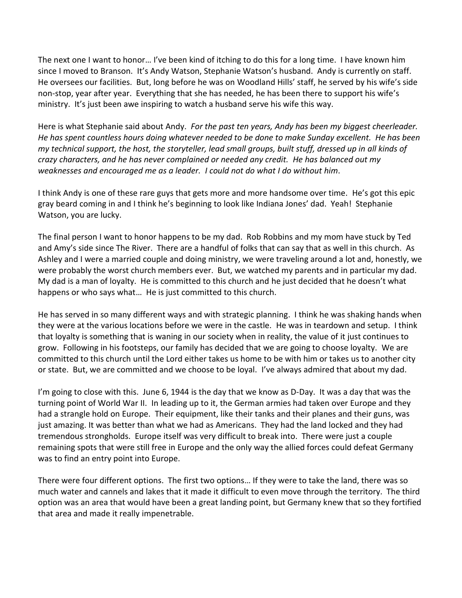The next one I want to honor… I've been kind of itching to do this for a long time. I have known him since I moved to Branson. It's Andy Watson, Stephanie Watson's husband. Andy is currently on staff. He oversees our facilities. But, long before he was on Woodland Hills' staff, he served by his wife's side non-stop, year after year. Everything that she has needed, he has been there to support his wife's ministry. It's just been awe inspiring to watch a husband serve his wife this way.

Here is what Stephanie said about Andy. *For the past ten years, Andy has been my biggest cheerleader. He has spent countless hours doing whatever needed to be done to make Sunday excellent. He has been my technical support, the host, the storyteller, lead small groups, built stuff, dressed up in all kinds of crazy characters, and he has never complained or needed any credit. He has balanced out my weaknesses and encouraged me as a leader. I could not do what I do without him*.

I think Andy is one of these rare guys that gets more and more handsome over time. He's got this epic gray beard coming in and I think he's beginning to look like Indiana Jones' dad. Yeah! Stephanie Watson, you are lucky.

The final person I want to honor happens to be my dad. Rob Robbins and my mom have stuck by Ted and Amy's side since The River. There are a handful of folks that can say that as well in this church. As Ashley and I were a married couple and doing ministry, we were traveling around a lot and, honestly, we were probably the worst church members ever. But, we watched my parents and in particular my dad. My dad is a man of loyalty. He is committed to this church and he just decided that he doesn't what happens or who says what… He is just committed to this church.

He has served in so many different ways and with strategic planning. I think he was shaking hands when they were at the various locations before we were in the castle. He was in teardown and setup. I think that loyalty is something that is waning in our society when in reality, the value of it just continues to grow. Following in his footsteps, our family has decided that we are going to choose loyalty. We are committed to this church until the Lord either takes us home to be with him or takes us to another city or state. But, we are committed and we choose to be loyal. I've always admired that about my dad.

I'm going to close with this. June 6, 1944 is the day that we know as D-Day. It was a day that was the turning point of World War II. In leading up to it, the German armies had taken over Europe and they had a strangle hold on Europe. Their equipment, like their tanks and their planes and their guns, was just amazing. It was better than what we had as Americans. They had the land locked and they had tremendous strongholds. Europe itself was very difficult to break into. There were just a couple remaining spots that were still free in Europe and the only way the allied forces could defeat Germany was to find an entry point into Europe.

There were four different options. The first two options… If they were to take the land, there was so much water and cannels and lakes that it made it difficult to even move through the territory. The third option was an area that would have been a great landing point, but Germany knew that so they fortified that area and made it really impenetrable.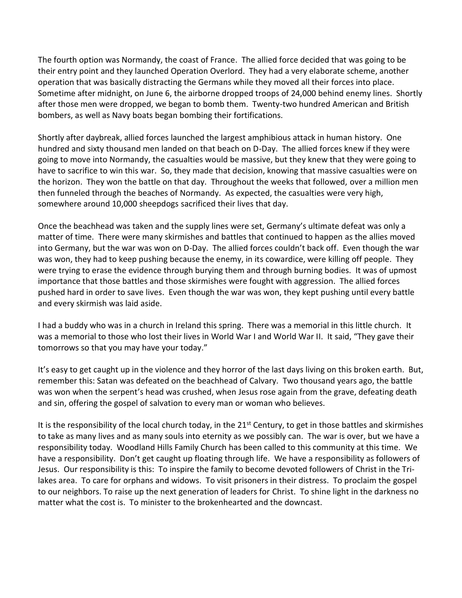The fourth option was Normandy, the coast of France. The allied force decided that was going to be their entry point and they launched Operation Overlord. They had a very elaborate scheme, another operation that was basically distracting the Germans while they moved all their forces into place. Sometime after midnight, on June 6, the airborne dropped troops of 24,000 behind enemy lines. Shortly after those men were dropped, we began to bomb them. Twenty-two hundred American and British bombers, as well as Navy boats began bombing their fortifications.

Shortly after daybreak, allied forces launched the largest amphibious attack in human history. One hundred and sixty thousand men landed on that beach on D-Day. The allied forces knew if they were going to move into Normandy, the casualties would be massive, but they knew that they were going to have to sacrifice to win this war. So, they made that decision, knowing that massive casualties were on the horizon. They won the battle on that day. Throughout the weeks that followed, over a million men then funneled through the beaches of Normandy. As expected, the casualties were very high, somewhere around 10,000 sheepdogs sacrificed their lives that day.

Once the beachhead was taken and the supply lines were set, Germany's ultimate defeat was only a matter of time. There were many skirmishes and battles that continued to happen as the allies moved into Germany, but the war was won on D-Day. The allied forces couldn't back off. Even though the war was won, they had to keep pushing because the enemy, in its cowardice, were killing off people. They were trying to erase the evidence through burying them and through burning bodies. It was of upmost importance that those battles and those skirmishes were fought with aggression. The allied forces pushed hard in order to save lives. Even though the war was won, they kept pushing until every battle and every skirmish was laid aside.

I had a buddy who was in a church in Ireland this spring. There was a memorial in this little church. It was a memorial to those who lost their lives in World War I and World War II. It said, "They gave their tomorrows so that you may have your today."

It's easy to get caught up in the violence and they horror of the last days living on this broken earth. But, remember this: Satan was defeated on the beachhead of Calvary. Two thousand years ago, the battle was won when the serpent's head was crushed, when Jesus rose again from the grave, defeating death and sin, offering the gospel of salvation to every man or woman who believes.

It is the responsibility of the local church today, in the  $21<sup>st</sup>$  Century, to get in those battles and skirmishes to take as many lives and as many souls into eternity as we possibly can. The war is over, but we have a responsibility today. Woodland Hills Family Church has been called to this community at this time. We have a responsibility. Don't get caught up floating through life. We have a responsibility as followers of Jesus. Our responsibility is this: To inspire the family to become devoted followers of Christ in the Trilakes area. To care for orphans and widows. To visit prisoners in their distress. To proclaim the gospel to our neighbors. To raise up the next generation of leaders for Christ. To shine light in the darkness no matter what the cost is. To minister to the brokenhearted and the downcast.